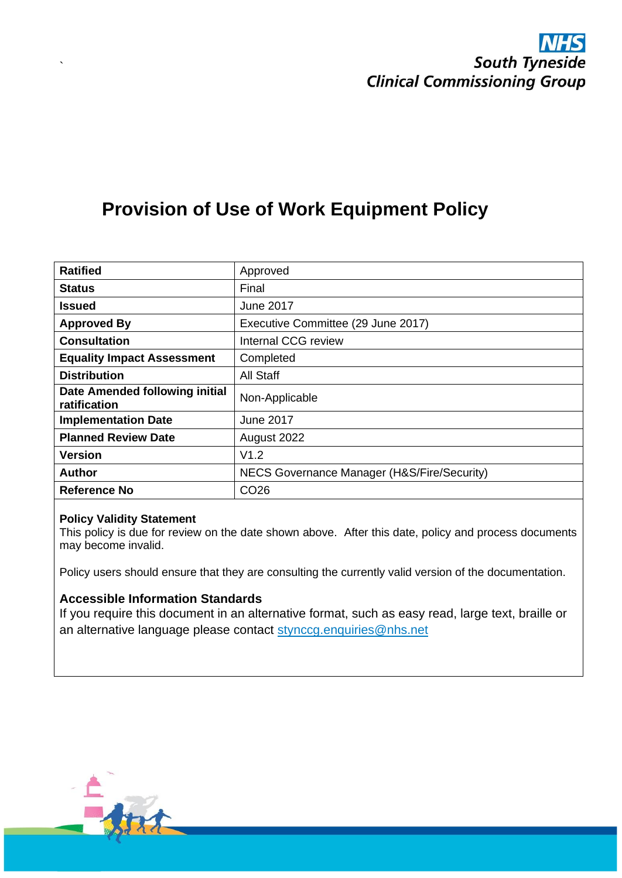# **Provision of Use of Work Equipment Policy**

| <b>Ratified</b>                                | Approved                                    |
|------------------------------------------------|---------------------------------------------|
| <b>Status</b>                                  | Final                                       |
| <b>Issued</b>                                  | <b>June 2017</b>                            |
| <b>Approved By</b>                             | Executive Committee (29 June 2017)          |
| <b>Consultation</b>                            | Internal CCG review                         |
| <b>Equality Impact Assessment</b>              | Completed                                   |
| <b>Distribution</b>                            | All Staff                                   |
| Date Amended following initial<br>ratification | Non-Applicable                              |
| <b>Implementation Date</b>                     | <b>June 2017</b>                            |
| <b>Planned Review Date</b>                     | August 2022                                 |
| <b>Version</b>                                 | V1.2                                        |
| <b>Author</b>                                  | NECS Governance Manager (H&S/Fire/Security) |
| Reference No                                   | CO <sub>26</sub>                            |

#### **Policy Validity Statement**

`

This policy is due for review on the date shown above. After this date, policy and process documents may become invalid.

Policy users should ensure that they are consulting the currently valid version of the documentation.

#### **Accessible Information Standards**

If you require this document in an alternative format, such as easy read, large text, braille or an alternative language please contact [stynccg.enquiries@nhs.net](mailto:stynccg.enquiries@nhs.net)

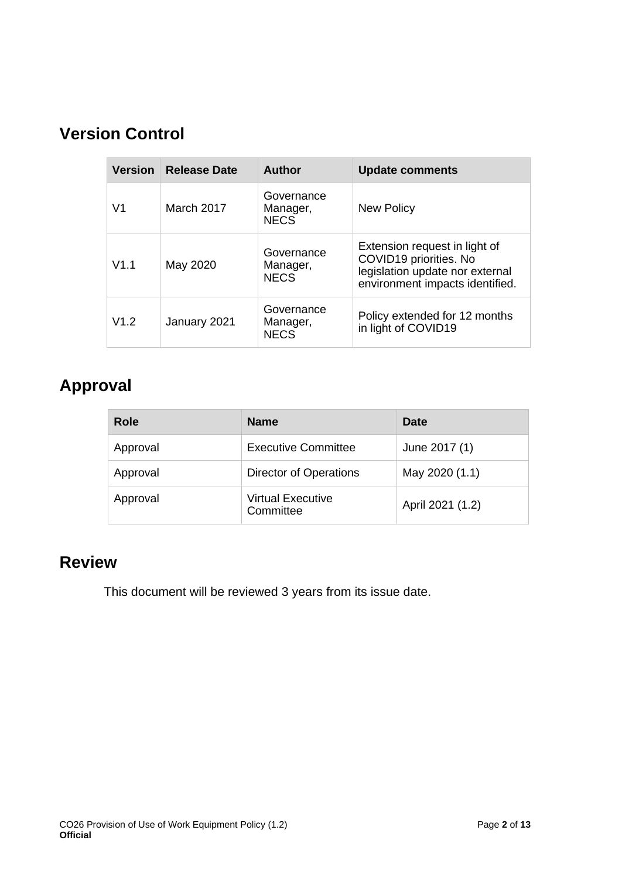# **Version Control**

| <b>Version</b> | <b>Release Date</b><br><b>Author</b> |                                       | <b>Update comments</b>                                                                                                        |  |
|----------------|--------------------------------------|---------------------------------------|-------------------------------------------------------------------------------------------------------------------------------|--|
| V <sub>1</sub> | March 2017                           | Governance<br>Manager,<br><b>NECS</b> | <b>New Policy</b>                                                                                                             |  |
| V1.1           | May 2020                             | Governance<br>Manager,<br><b>NECS</b> | Extension request in light of<br>COVID19 priorities. No<br>legislation update nor external<br>environment impacts identified. |  |
| V1.2           | January 2021                         | Governance<br>Manager,<br><b>NECS</b> | Policy extended for 12 months<br>in light of COVID19                                                                          |  |

# **Approval**

| Role     | <b>Name</b>                           | <b>Date</b>      |
|----------|---------------------------------------|------------------|
| Approval | <b>Executive Committee</b>            | June 2017 (1)    |
| Approval | Director of Operations                | May 2020 (1.1)   |
| Approval | <b>Virtual Executive</b><br>Committee | April 2021 (1.2) |

# **Review**

This document will be reviewed 3 years from its issue date.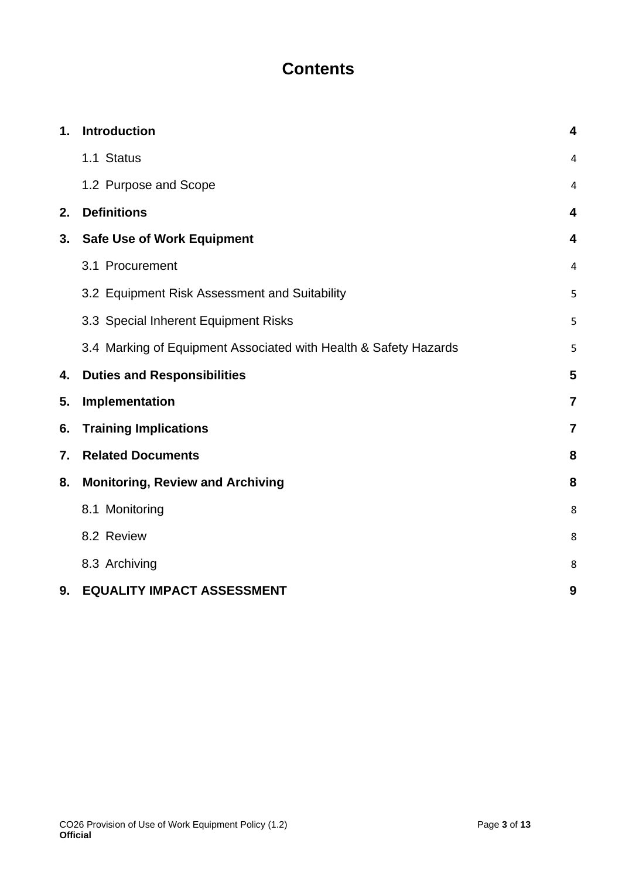# **Contents**

| 1. | Introduction                                                     | 4                       |
|----|------------------------------------------------------------------|-------------------------|
|    | 1.1 Status                                                       | 4                       |
|    | 1.2 Purpose and Scope                                            | 4                       |
| 2. | <b>Definitions</b>                                               | 4                       |
| 3. | <b>Safe Use of Work Equipment</b>                                | 4                       |
|    | 3.1 Procurement                                                  | 4                       |
|    | 3.2 Equipment Risk Assessment and Suitability                    | 5                       |
|    | 3.3 Special Inherent Equipment Risks                             | 5                       |
|    | 3.4 Marking of Equipment Associated with Health & Safety Hazards | 5                       |
| 4. | <b>Duties and Responsibilities</b>                               | 5                       |
| 5. | Implementation                                                   | $\overline{7}$          |
| 6. | <b>Training Implications</b>                                     | $\overline{\mathbf{z}}$ |
| 7. | <b>Related Documents</b>                                         | 8                       |
| 8. | <b>Monitoring, Review and Archiving</b>                          | 8                       |
|    | 8.1 Monitoring                                                   | 8                       |
|    | 8.2 Review                                                       | 8                       |
|    | 8.3 Archiving                                                    | 8                       |
| 9. | <b>EQUALITY IMPACT ASSESSMENT</b>                                | 9                       |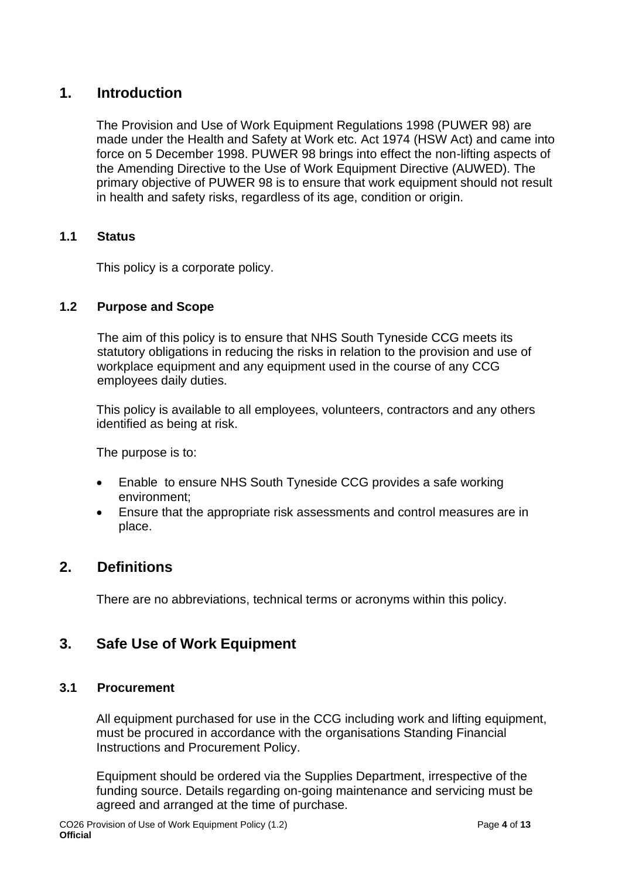## <span id="page-3-0"></span>**1. Introduction**

The Provision and Use of Work Equipment Regulations 1998 (PUWER 98) are made under the Health and Safety at Work etc. Act 1974 (HSW Act) and came into force on 5 December 1998. PUWER 98 brings into effect the non-lifting aspects of the Amending Directive to the Use of Work Equipment Directive (AUWED). The primary objective of PUWER 98 is to ensure that work equipment should not result in health and safety risks, regardless of its age, condition or origin.

## <span id="page-3-1"></span>**1.1 Status**

This policy is a corporate policy.

### <span id="page-3-2"></span>**1.2 Purpose and Scope**

The aim of this policy is to ensure that NHS South Tyneside CCG meets its statutory obligations in reducing the risks in relation to the provision and use of workplace equipment and any equipment used in the course of any CCG employees daily duties.

This policy is available to all employees, volunteers, contractors and any others identified as being at risk.

The purpose is to:

- Enable to ensure NHS South Tyneside CCG provides a safe working environment;
- Ensure that the appropriate risk assessments and control measures are in place.

## <span id="page-3-3"></span>**2. Definitions**

There are no abbreviations, technical terms or acronyms within this policy.

## <span id="page-3-4"></span>**3. Safe Use of Work Equipment**

#### <span id="page-3-5"></span>**3.1 Procurement**

All equipment purchased for use in the CCG including work and lifting equipment, must be procured in accordance with the organisations Standing Financial Instructions and Procurement Policy.

Equipment should be ordered via the Supplies Department, irrespective of the funding source. Details regarding on-going maintenance and servicing must be agreed and arranged at the time of purchase.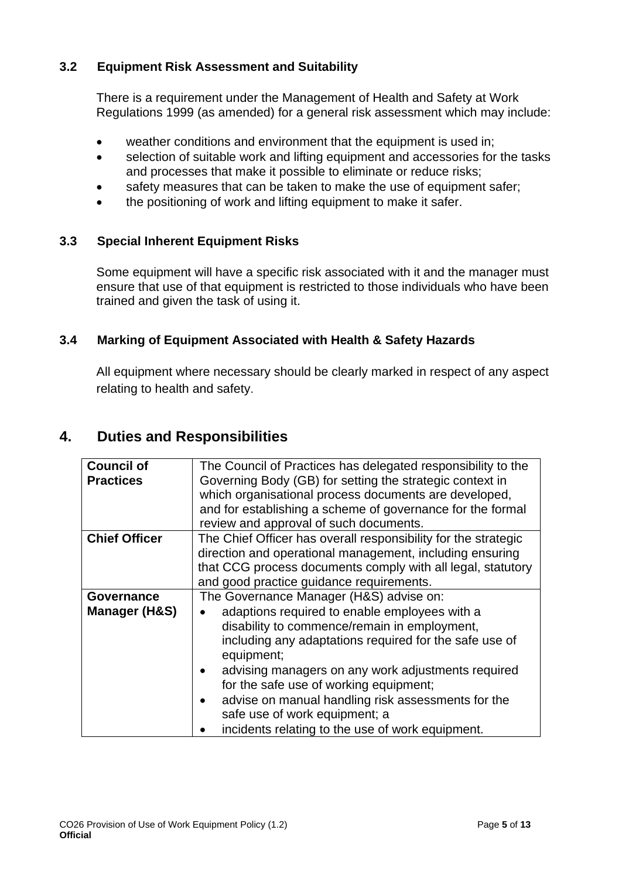## <span id="page-4-0"></span>**3.2 Equipment Risk Assessment and Suitability**

There is a requirement under the Management of Health and Safety at Work Regulations 1999 (as amended) for a general risk assessment which may include:

- weather conditions and environment that the equipment is used in;
- selection of suitable work and lifting equipment and accessories for the tasks and processes that make it possible to eliminate or reduce risks;
- safety measures that can be taken to make the use of equipment safer;
- the positioning of work and lifting equipment to make it safer.

## <span id="page-4-1"></span>**3.3 Special Inherent Equipment Risks**

Some equipment will have a specific risk associated with it and the manager must ensure that use of that equipment is restricted to those individuals who have been trained and given the task of using it.

## <span id="page-4-2"></span>**3.4 Marking of Equipment Associated with Health & Safety Hazards**

All equipment where necessary should be clearly marked in respect of any aspect relating to health and safety.

## <span id="page-4-3"></span>**4. Duties and Responsibilities**

| <b>Council of</b>                                | The Council of Practices has delegated responsibility to the   |  |  |  |
|--------------------------------------------------|----------------------------------------------------------------|--|--|--|
|                                                  |                                                                |  |  |  |
| <b>Practices</b>                                 | Governing Body (GB) for setting the strategic context in       |  |  |  |
|                                                  | which organisational process documents are developed,          |  |  |  |
|                                                  | and for establishing a scheme of governance for the formal     |  |  |  |
|                                                  | review and approval of such documents.                         |  |  |  |
| <b>Chief Officer</b>                             | The Chief Officer has overall responsibility for the strategic |  |  |  |
|                                                  | direction and operational management, including ensuring       |  |  |  |
|                                                  | that CCG process documents comply with all legal, statutory    |  |  |  |
|                                                  | and good practice guidance requirements.                       |  |  |  |
| Governance                                       | The Governance Manager (H&S) advise on:                        |  |  |  |
| Manager (H&S)                                    | adaptions required to enable employees with a                  |  |  |  |
|                                                  | disability to commence/remain in employment,                   |  |  |  |
|                                                  | including any adaptations required for the safe use of         |  |  |  |
|                                                  | equipment;                                                     |  |  |  |
|                                                  | advising managers on any work adjustments required             |  |  |  |
|                                                  | for the safe use of working equipment;                         |  |  |  |
|                                                  | advise on manual handling risk assessments for the             |  |  |  |
|                                                  | safe use of work equipment; a                                  |  |  |  |
| incidents relating to the use of work equipment. |                                                                |  |  |  |
|                                                  |                                                                |  |  |  |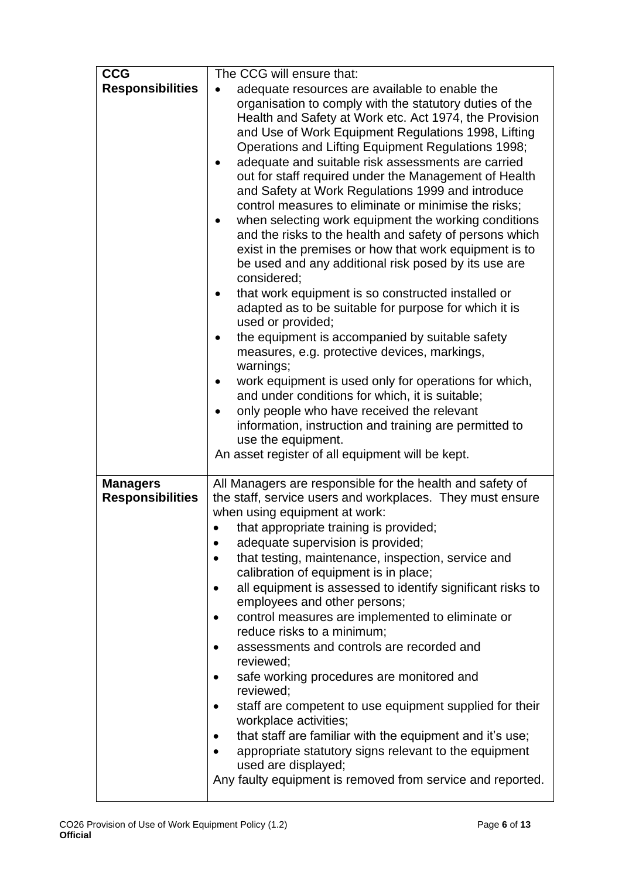| <b>CCG</b><br><b>Responsibilities</b>      | The CCG will ensure that:<br>adequate resources are available to enable the<br>organisation to comply with the statutory duties of the<br>Health and Safety at Work etc. Act 1974, the Provision<br>and Use of Work Equipment Regulations 1998, Lifting<br>Operations and Lifting Equipment Regulations 1998;<br>adequate and suitable risk assessments are carried<br>٠<br>out for staff required under the Management of Health<br>and Safety at Work Regulations 1999 and introduce<br>control measures to eliminate or minimise the risks;<br>when selecting work equipment the working conditions<br>and the risks to the health and safety of persons which<br>exist in the premises or how that work equipment is to<br>be used and any additional risk posed by its use are<br>considered;<br>that work equipment is so constructed installed or<br>٠<br>adapted as to be suitable for purpose for which it is<br>used or provided;<br>the equipment is accompanied by suitable safety<br>$\bullet$<br>measures, e.g. protective devices, markings,<br>warnings;<br>work equipment is used only for operations for which,<br>and under conditions for which, it is suitable;<br>only people who have received the relevant<br>$\bullet$<br>information, instruction and training are permitted to<br>use the equipment.<br>An asset register of all equipment will be kept. |
|--------------------------------------------|-------------------------------------------------------------------------------------------------------------------------------------------------------------------------------------------------------------------------------------------------------------------------------------------------------------------------------------------------------------------------------------------------------------------------------------------------------------------------------------------------------------------------------------------------------------------------------------------------------------------------------------------------------------------------------------------------------------------------------------------------------------------------------------------------------------------------------------------------------------------------------------------------------------------------------------------------------------------------------------------------------------------------------------------------------------------------------------------------------------------------------------------------------------------------------------------------------------------------------------------------------------------------------------------------------------------------------------------------------------------------------------|
| <b>Managers</b><br><b>Responsibilities</b> | All Managers are responsible for the health and safety of<br>the staff, service users and workplaces. They must ensure<br>when using equipment at work:<br>that appropriate training is provided;<br>adequate supervision is provided;<br>that testing, maintenance, inspection, service and<br>calibration of equipment is in place;<br>all equipment is assessed to identify significant risks to<br>employees and other persons;<br>control measures are implemented to eliminate or<br>reduce risks to a minimum;<br>assessments and controls are recorded and<br>reviewed;<br>safe working procedures are monitored and<br>reviewed;<br>staff are competent to use equipment supplied for their<br>workplace activities;<br>that staff are familiar with the equipment and it's use;<br>٠<br>appropriate statutory signs relevant to the equipment<br>used are displayed;<br>Any faulty equipment is removed from service and reported.                                                                                                                                                                                                                                                                                                                                                                                                                                        |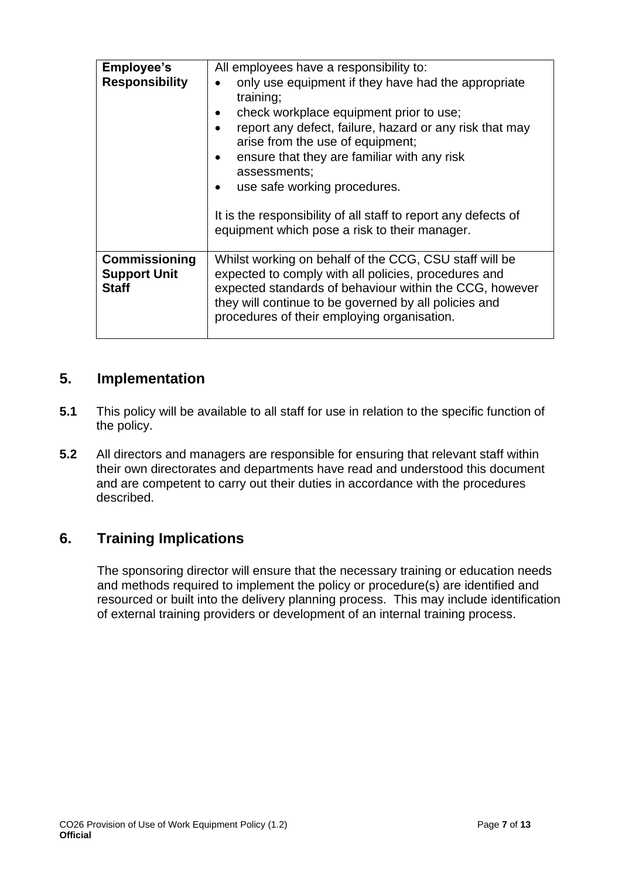| <b>Employee's</b><br><b>Responsibility</b>                  | All employees have a responsibility to:<br>only use equipment if they have had the appropriate<br>$\bullet$<br>training;<br>check workplace equipment prior to use;<br>$\bullet$<br>report any defect, failure, hazard or any risk that may<br>arise from the use of equipment;<br>ensure that they are familiar with any risk<br>$\bullet$<br>assessments;<br>use safe working procedures.<br>$\bullet$ |
|-------------------------------------------------------------|----------------------------------------------------------------------------------------------------------------------------------------------------------------------------------------------------------------------------------------------------------------------------------------------------------------------------------------------------------------------------------------------------------|
|                                                             | It is the responsibility of all staff to report any defects of<br>equipment which pose a risk to their manager.                                                                                                                                                                                                                                                                                          |
| <b>Commissioning</b><br><b>Support Unit</b><br><b>Staff</b> | Whilst working on behalf of the CCG, CSU staff will be<br>expected to comply with all policies, procedures and<br>expected standards of behaviour within the CCG, however<br>they will continue to be governed by all policies and<br>procedures of their employing organisation.                                                                                                                        |

## <span id="page-6-0"></span>**5. Implementation**

- **5.1** This policy will be available to all staff for use in relation to the specific function of the policy.
- **5.2** All directors and managers are responsible for ensuring that relevant staff within their own directorates and departments have read and understood this document and are competent to carry out their duties in accordance with the procedures described.

## <span id="page-6-1"></span>**6. Training Implications**

The sponsoring director will ensure that the necessary training or education needs and methods required to implement the policy or procedure(s) are identified and resourced or built into the delivery planning process. This may include identification of external training providers or development of an internal training process.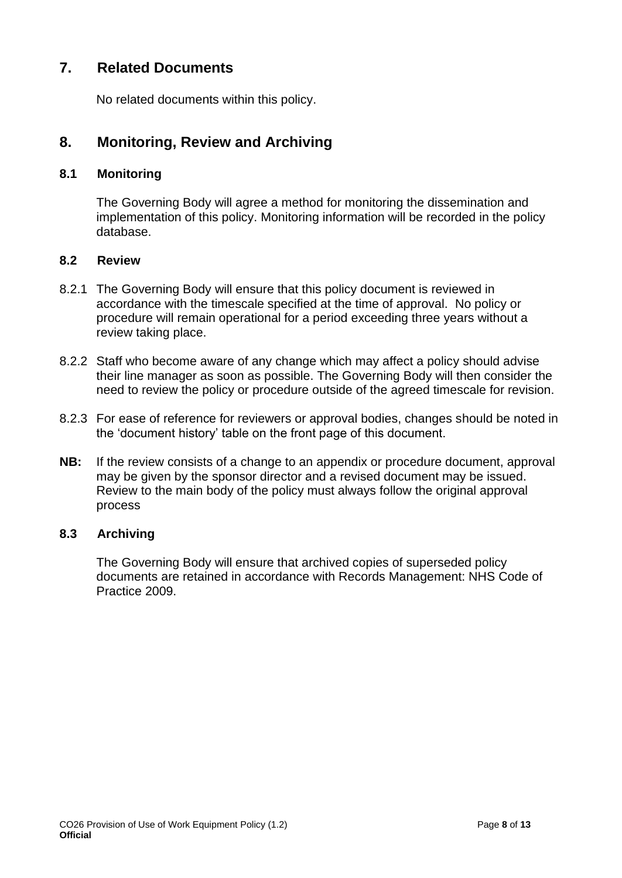## <span id="page-7-0"></span>**7. Related Documents**

No related documents within this policy.

## <span id="page-7-1"></span>**8. Monitoring, Review and Archiving**

#### <span id="page-7-2"></span>**8.1 Monitoring**

The Governing Body will agree a method for monitoring the dissemination and implementation of this policy. Monitoring information will be recorded in the policy database.

#### <span id="page-7-3"></span>**8.2 Review**

- 8.2.1 The Governing Body will ensure that this policy document is reviewed in accordance with the timescale specified at the time of approval. No policy or procedure will remain operational for a period exceeding three years without a review taking place.
- 8.2.2 Staff who become aware of any change which may affect a policy should advise their line manager as soon as possible. The Governing Body will then consider the need to review the policy or procedure outside of the agreed timescale for revision.
- 8.2.3 For ease of reference for reviewers or approval bodies, changes should be noted in the 'document history' table on the front page of this document.
- **NB:** If the review consists of a change to an appendix or procedure document, approval may be given by the sponsor director and a revised document may be issued. Review to the main body of the policy must always follow the original approval process

### <span id="page-7-4"></span>**8.3 Archiving**

The Governing Body will ensure that archived copies of superseded policy documents are retained in accordance with Records Management: NHS Code of Practice 2009.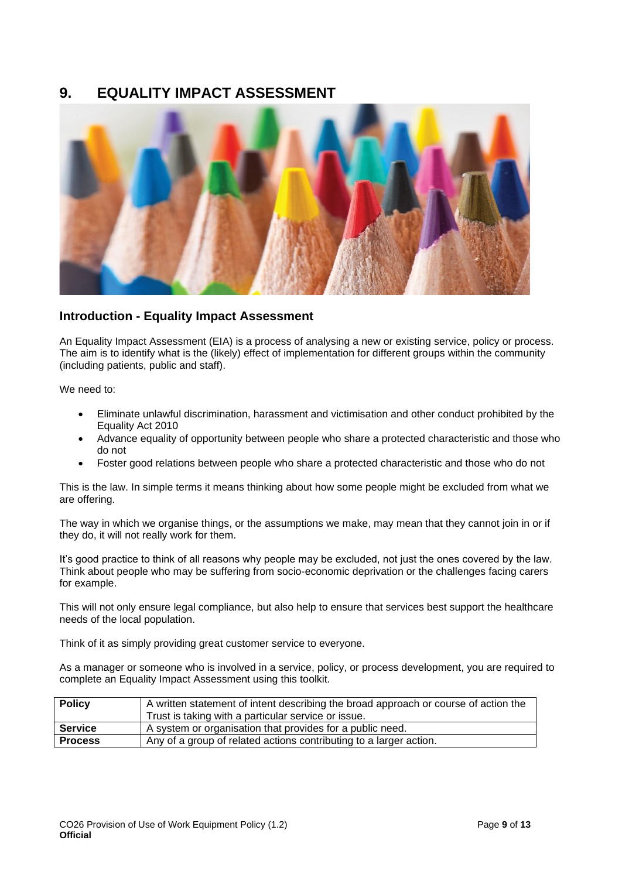## <span id="page-8-0"></span>**9. EQUALITY IMPACT ASSESSMENT**



#### **Introduction - Equality Impact Assessment**

An Equality Impact Assessment (EIA) is a process of analysing a new or existing service, policy or process. The aim is to identify what is the (likely) effect of implementation for different groups within the community (including patients, public and staff).

We need to:

- Eliminate unlawful discrimination, harassment and victimisation and other conduct prohibited by the Equality Act 2010
- Advance equality of opportunity between people who share a protected characteristic and those who do not
- Foster good relations between people who share a protected characteristic and those who do not

This is the law. In simple terms it means thinking about how some people might be excluded from what we are offering.

The way in which we organise things, or the assumptions we make, may mean that they cannot join in or if they do, it will not really work for them.

It's good practice to think of all reasons why people may be excluded, not just the ones covered by the law. Think about people who may be suffering from socio-economic deprivation or the challenges facing carers for example.

This will not only ensure legal compliance, but also help to ensure that services best support the healthcare needs of the local population.

Think of it as simply providing great customer service to everyone.

As a manager or someone who is involved in a service, policy, or process development, you are required to complete an Equality Impact Assessment using this toolkit.

| <b>Policy</b>  | A written statement of intent describing the broad approach or course of action the<br>Trust is taking with a particular service or issue. |
|----------------|--------------------------------------------------------------------------------------------------------------------------------------------|
| <b>Service</b> | A system or organisation that provides for a public need.                                                                                  |
| <b>Process</b> | Any of a group of related actions contributing to a larger action.                                                                         |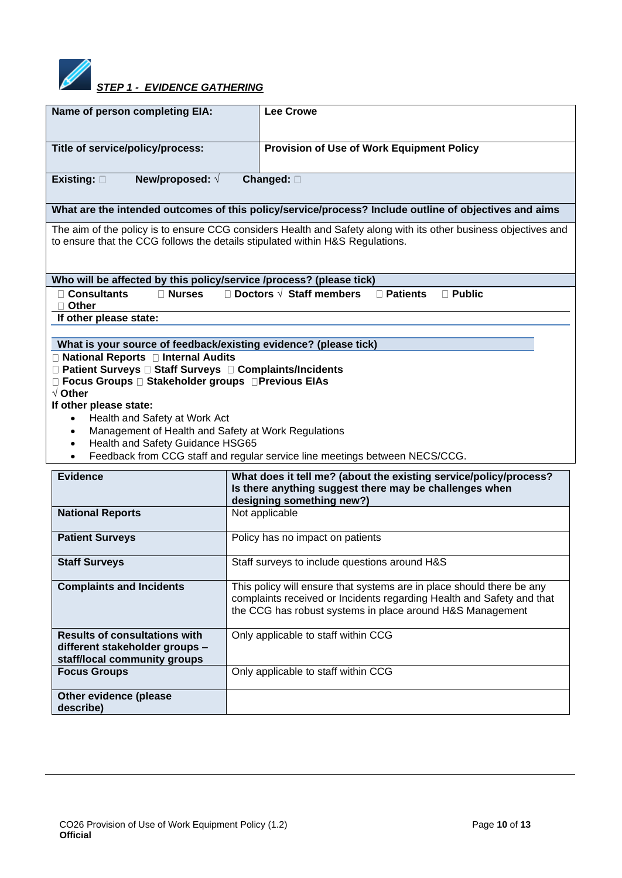

| Name of person completing EIA:                                                                                 | <b>Lee Crowe</b>                                                                                                                                                                                            |  |
|----------------------------------------------------------------------------------------------------------------|-------------------------------------------------------------------------------------------------------------------------------------------------------------------------------------------------------------|--|
| Title of service/policy/process:                                                                               | Provision of Use of Work Equipment Policy                                                                                                                                                                   |  |
| New/proposed: $\sqrt{ }$<br>Existing: $\square$                                                                | Changed: 0                                                                                                                                                                                                  |  |
|                                                                                                                | What are the intended outcomes of this policy/service/process? Include outline of objectives and aims                                                                                                       |  |
|                                                                                                                | The aim of the policy is to ensure CCG considers Health and Safety along with its other business objectives and<br>to ensure that the CCG follows the details stipulated within H&S Regulations.            |  |
| Who will be affected by this policy/service /process? (please tick)                                            |                                                                                                                                                                                                             |  |
| <b>□ Consultants</b><br><b>□ Nurses</b><br>$\Box$ Other                                                        | $\Box$ Doctors $\sqrt{\phantom{a}}$ Staff members<br>$\Box$ Patients<br>$\Box$ Public                                                                                                                       |  |
| If other please state:                                                                                         |                                                                                                                                                                                                             |  |
|                                                                                                                |                                                                                                                                                                                                             |  |
| What is your source of feedback/existing evidence? (please tick)<br>□ National Reports □ Internal Audits       |                                                                                                                                                                                                             |  |
| □ Patient Surveys □ Staff Surveys □ Complaints/Incidents                                                       |                                                                                                                                                                                                             |  |
| □ Focus Groups □ Stakeholder groups □ Previous EIAs                                                            |                                                                                                                                                                                                             |  |
| $\sqrt{}$ Other                                                                                                |                                                                                                                                                                                                             |  |
| If other please state:                                                                                         |                                                                                                                                                                                                             |  |
| Health and Safety at Work Act<br>$\bullet$<br>Management of Health and Safety at Work Regulations<br>$\bullet$ |                                                                                                                                                                                                             |  |
| Health and Safety Guidance HSG65<br>$\bullet$                                                                  |                                                                                                                                                                                                             |  |
| $\bullet$                                                                                                      | Feedback from CCG staff and regular service line meetings between NECS/CCG.                                                                                                                                 |  |
| <b>Evidence</b>                                                                                                | What does it tell me? (about the existing service/policy/process?                                                                                                                                           |  |
|                                                                                                                | Is there anything suggest there may be challenges when                                                                                                                                                      |  |
|                                                                                                                | designing something new?)                                                                                                                                                                                   |  |
| <b>National Reports</b>                                                                                        | Not applicable                                                                                                                                                                                              |  |
| <b>Patient Surveys</b>                                                                                         | Policy has no impact on patients                                                                                                                                                                            |  |
| Staff surveys to include questions around H&S<br><b>Staff Surveys</b>                                          |                                                                                                                                                                                                             |  |
| <b>Complaints and Incidents</b>                                                                                | This policy will ensure that systems are in place should there be any<br>complaints received or Incidents regarding Health and Safety and that<br>the CCG has robust systems in place around H&S Management |  |
| <b>Results of consultations with</b>                                                                           | Only applicable to staff within CCG                                                                                                                                                                         |  |
| different stakeholder groups -                                                                                 |                                                                                                                                                                                                             |  |
| staff/local community groups<br><b>Focus Groups</b>                                                            | Only applicable to staff within CCG                                                                                                                                                                         |  |
|                                                                                                                |                                                                                                                                                                                                             |  |
| Other evidence (please                                                                                         |                                                                                                                                                                                                             |  |
| describe)                                                                                                      |                                                                                                                                                                                                             |  |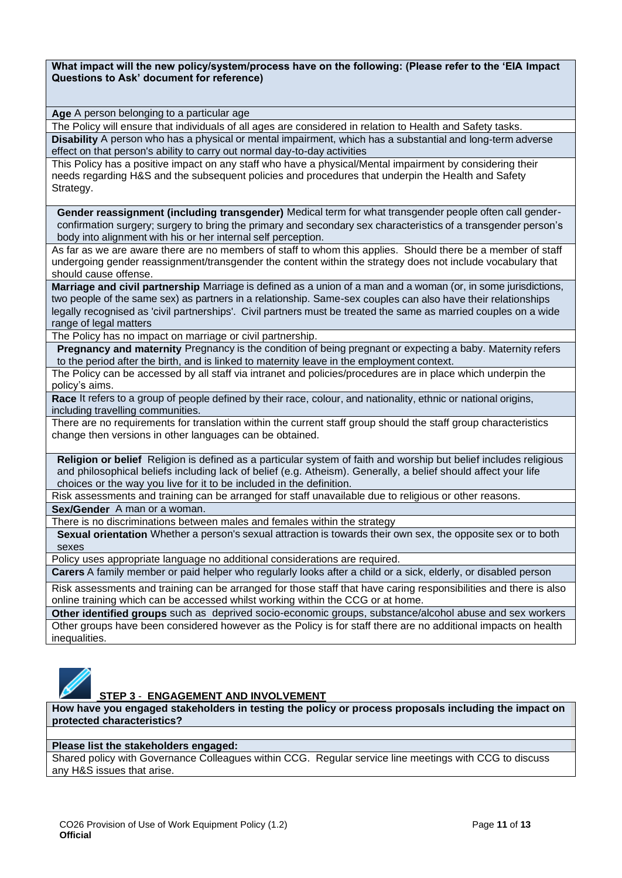| What impact will the new policy/system/process have on the following: (Please refer to the 'EIA Impact |  |
|--------------------------------------------------------------------------------------------------------|--|
| Questions to Ask' document for reference)                                                              |  |

**Age** A person belonging to a particular age

The Policy will ensure that individuals of all ages are considered in relation to Health and Safety tasks. **Disability** A person who has a physical or mental impairment, which has a substantial and long-term adverse effect on that person's ability to carry out normal day-to-day activities

This Policy has a positive impact on any staff who have a physical/Mental impairment by considering their needs regarding H&S and the subsequent policies and procedures that underpin the Health and Safety Strategy.

**Gender reassignment (including transgender)** Medical term for what transgender people often call genderconfirmation surgery; surgery to bring the primary and secondary sex characteristics of a transgender person's body into alignment with his or her internal self perception.

As far as we are aware there are no members of staff to whom this applies. Should there be a member of staff undergoing gender reassignment/transgender the content within the strategy does not include vocabulary that should cause offense.

**Marriage and civil partnership** Marriage is defined as a union of a man and a woman (or, in some jurisdictions, two people of the same sex) as partners in a relationship. Same-sex couples can also have their relationships legally recognised as 'civil partnerships'. Civil partners must be treated the same as married couples on a wide range of legal matters

The Policy has no impact on marriage or civil partnership.

**Pregnancy and maternity** Pregnancy is the condition of being pregnant or expecting a baby. Maternity refers to the period after the birth, and is linked to maternity leave in the employment context.

The Policy can be accessed by all staff via intranet and policies/procedures are in place which underpin the policy's aims.

**Race** It refers to a group of people defined by their race, colour, and nationality, ethnic or national origins, including travelling communities.

There are no requirements for translation within the current staff group should the staff group characteristics change then versions in other languages can be obtained.

**Religion or belief** Religion is defined as a particular system of faith and worship but belief includes religious and philosophical beliefs including lack of belief (e.g. Atheism). Generally, a belief should affect your life choices or the way you live for it to be included in the definition.

Risk assessments and training can be arranged for staff unavailable due to religious or other reasons.

**Sex/Gender** A man or a woman.

There is no discriminations between males and females within the strategy

**Sexual orientation** Whether a person's sexual attraction is towards their own sex, the opposite sex or to both sexes

Policy uses appropriate language no additional considerations are required.

**Carers** A family member or paid [helper](http://www.oxforddictionaries.com/definition/english/%20http:/www.oxforddictionaries.com/definition/english/helper#helper__2) who regularly looks after a child or a [sick,](http://www.oxforddictionaries.com/definition/english/%20http:/www.oxforddictionaries.com/definition/english/sick#sick__2) [elderly,](http://www.oxforddictionaries.com/definition/english/%20http:/www.oxforddictionaries.com/definition/english/elderly#elderly__2) or [disabled](http://www.oxforddictionaries.com/definition/english/%20http:/www.oxforddictionaries.com/definition/english/disabled#disabled__2) person

Risk assessments and training can be arranged for those staff that have caring responsibilities and there is also online training which can be accessed whilst working within the CCG or at home.

**Other identified groups** such as deprived socio-economic groups, substance/alcohol abuse and sex workers Other groups have been considered however as the Policy is for staff there are no additional impacts on health inequalities.



#### **STEP 3** - **ENGAGEMENT AND INVOLVEMENT**

**How have you engaged stakeholders in testing the policy or process proposals including the impact on protected characteristics?**

#### **Please list the stakeholders engaged:**

Shared policy with Governance Colleagues within CCG. Regular service line meetings with CCG to discuss any H&S issues that arise.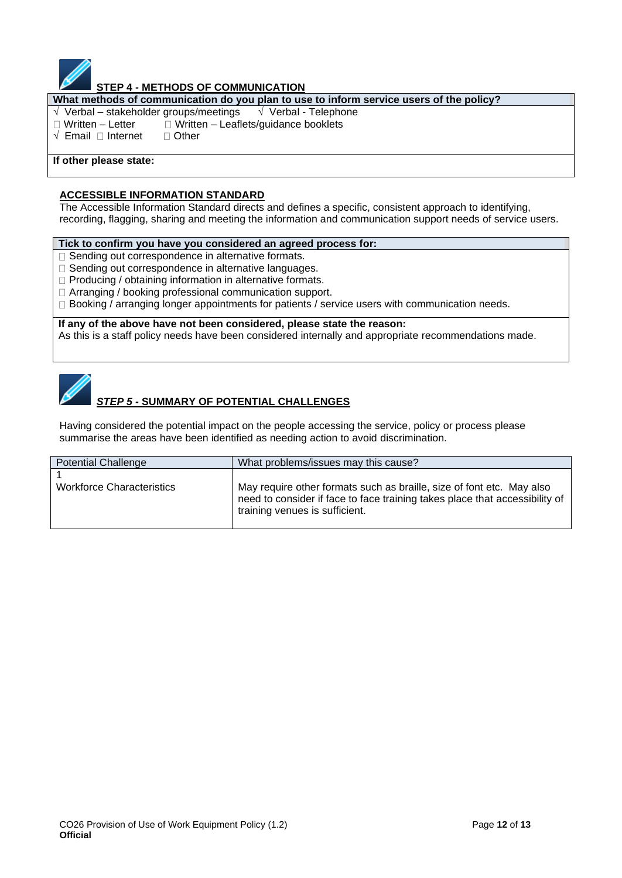

#### **STEP 4 - METHODS OF COMMUNICATION**

**What methods of communication do you plan to use to inform service users of the policy?**

- $\sqrt{\sqrt{2}}$  Verbal stakeholder groups/meetings  $\sqrt{\sqrt{2}}$  Verbal Telephone
- $\Box$  Written Letter  $\Box$  Written Leaflets/guidance booklets
- $\sqrt{\ }$  Email  $\Box$  Internet  $\Box$  Other

#### **If other please state:**

#### **ACCESSIBLE INFORMATION STANDARD**

The Accessible Information Standard directs and defines a specific, consistent approach to identifying, recording, flagging, sharing and meeting the information and communication support needs of service users.

#### **Tick to confirm you have you considered an agreed process for:**

- $\Box$  Sending out correspondence in alternative formats.
- $\Box$  Sending out correspondence in alternative languages.
- $\Box$  Producing / obtaining information in alternative formats.
- □ Arranging / booking professional communication support.
- $\Box$  Booking / arranging longer appointments for patients / service users with communication needs.

**If any of the above have not been considered, please state the reason:** As this is a staff policy needs have been considered internally and appropriate recommendations made.



## *STEP 5 -* **SUMMARY OF POTENTIAL CHALLENGES**

Having considered the potential impact on the people accessing the service, policy or process please summarise the areas have been identified as needing action to avoid discrimination.

| <b>Potential Challenge</b>       | What problems/issues may this cause?                                                                                                                                                   |
|----------------------------------|----------------------------------------------------------------------------------------------------------------------------------------------------------------------------------------|
| <b>Workforce Characteristics</b> | May require other formats such as braille, size of font etc. May also<br>need to consider if face to face training takes place that accessibility of<br>training venues is sufficient. |